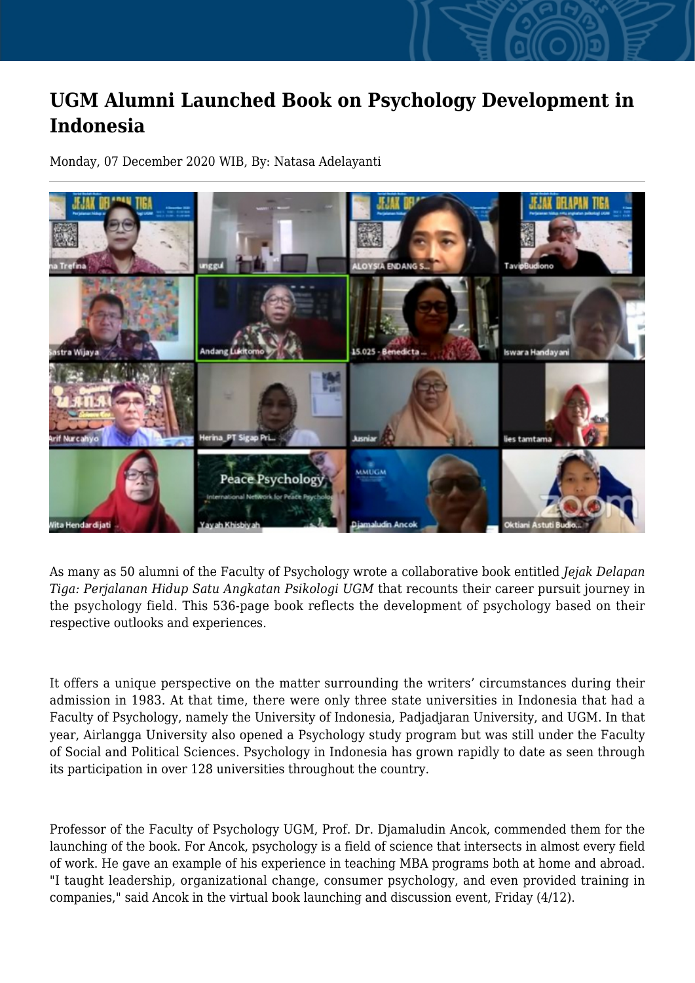## **UGM Alumni Launched Book on Psychology Development in Indonesia**

Monday, 07 December 2020 WIB, By: Natasa Adelayanti



As many as 50 alumni of the Faculty of Psychology wrote a collaborative book entitled *Jejak Delapan Tiga: Perjalanan Hidup Satu Angkatan Psikologi UGM* that recounts their career pursuit journey in the psychology field. This 536-page book reflects the development of psychology based on their respective outlooks and experiences.

It offers a unique perspective on the matter surrounding the writers' circumstances during their admission in 1983. At that time, there were only three state universities in Indonesia that had a Faculty of Psychology, namely the University of Indonesia, Padjadjaran University, and UGM. In that year, Airlangga University also opened a Psychology study program but was still under the Faculty of Social and Political Sciences. Psychology in Indonesia has grown rapidly to date as seen through its participation in over 128 universities throughout the country.

Professor of the Faculty of Psychology UGM, Prof. Dr. Djamaludin Ancok, commended them for the launching of the book. For Ancok, psychology is a field of science that intersects in almost every field of work. He gave an example of his experience in teaching MBA programs both at home and abroad. "I taught leadership, organizational change, consumer psychology, and even provided training in companies," said Ancok in the virtual book launching and discussion event, Friday (4/12).